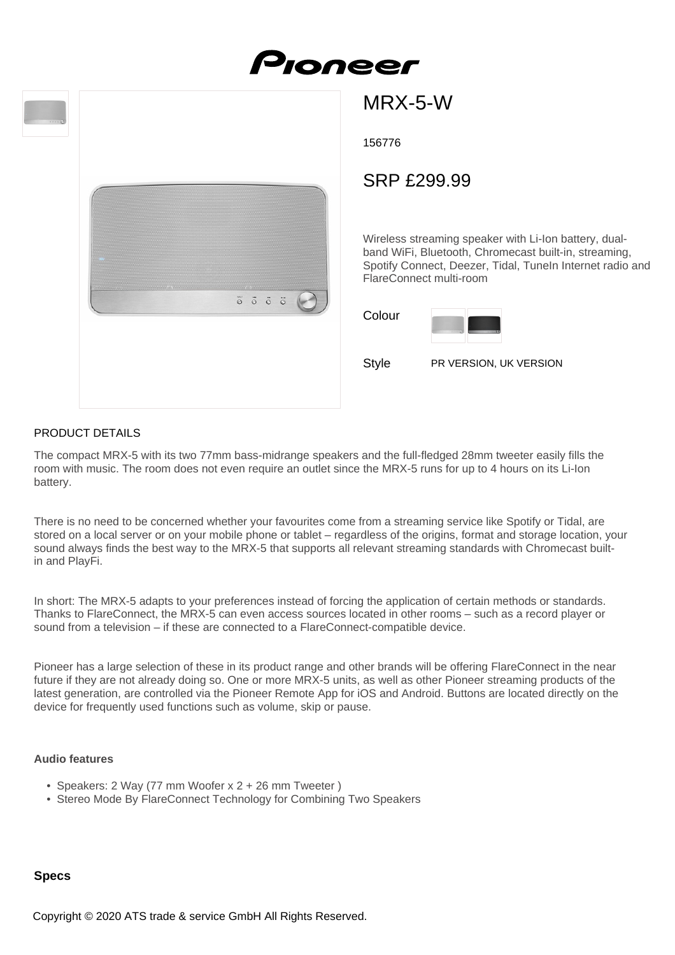



MRX-5-W

156776

# SRP £299.99

Wireless streaming speaker with Li-Ion battery, dualband WiFi, Bluetooth, Chromecast built-in, streaming, Spotify Connect, Deezer, Tidal, TuneIn Internet radio and FlareConnect multi-room

Colour



Style PR VERSION, UK VERSION

## PRODUCT DETAILS

The compact MRX-5 with its two 77mm bass-midrange speakers and the full-fledged 28mm tweeter easily fills the room with music. The room does not even require an outlet since the MRX-5 runs for up to 4 hours on its Li-Ion battery.

There is no need to be concerned whether your favourites come from a streaming service like Spotify or Tidal, are stored on a local server or on your mobile phone or tablet – regardless of the origins, format and storage location, your sound always finds the best way to the MRX-5 that supports all relevant streaming standards with Chromecast builtin and PlayFi.

In short: The MRX-5 adapts to your preferences instead of forcing the application of certain methods or standards. Thanks to FlareConnect, the MRX-5 can even access sources located in other rooms – such as a record player or sound from a television – if these are connected to a FlareConnect-compatible device.

Pioneer has a large selection of these in its product range and other brands will be offering FlareConnect in the near future if they are not already doing so. One or more MRX-5 units, as well as other Pioneer streaming products of the latest generation, are controlled via the Pioneer Remote App for iOS and Android. Buttons are located directly on the device for frequently used functions such as volume, skip or pause.

#### **Audio features**

- Speakers: 2 Way (77 mm Woofer x 2 + 26 mm Tweeter )
- Stereo Mode By FlareConnect Technology for Combining Two Speakers

# **Specs**

Copyright © 2020 ATS trade & service GmbH All Rights Reserved.